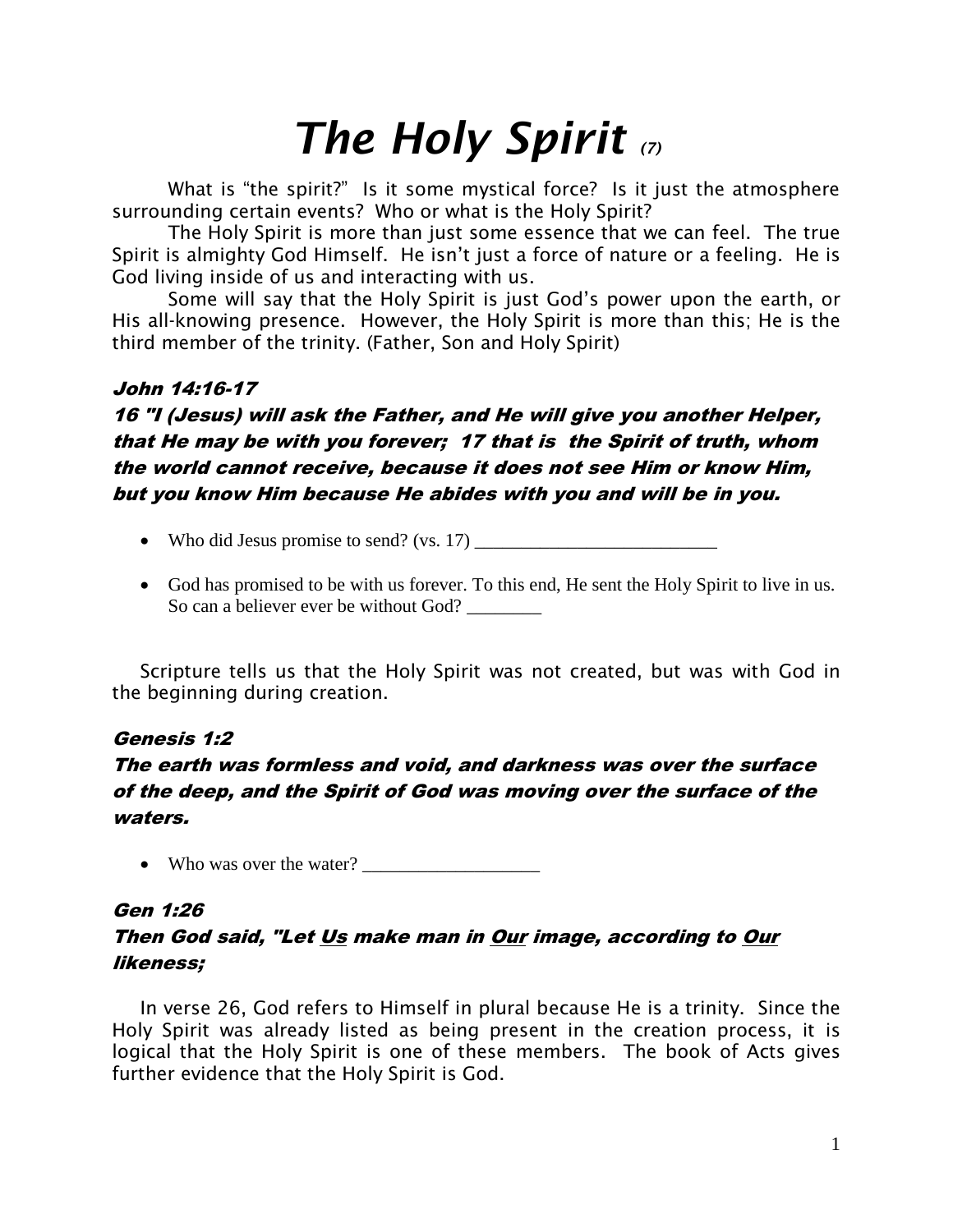# *The Holy Spirit (7)*

What is "the spirit?" Is it some mystical force? Is it just the atmosphere surrounding certain events? Who or what is the Holy Spirit?

The Holy Spirit is more than just some essence that we can feel. The true Spirit is almighty God Himself. He isn't just a force of nature or a feeling. He is God living inside of us and interacting with us.

Some will say that the Holy Spirit is just God's power upon the earth, or His all-knowing presence. However, the Holy Spirit is more than this; He is the third member of the trinity. (Father, Son and Holy Spirit)

#### John 14:16-17

16 "I (Jesus) will ask the Father, and He will give you another Helper, that He may be with you forever; 17 that is the Spirit of truth, whom the world cannot receive, because it does not see Him or know Him, but you know Him because He abides with you and will be in you.

- Who did Jesus promise to send? (vs. 17)
- God has promised to be with us forever. To this end, He sent the Holy Spirit to live in us. So can a believer ever be without God?

Scripture tells us that the Holy Spirit was not created, but was with God in the beginning during creation.

### Genesis 1:2

## The earth was formless and void, and darkness was over the surface of the deep, and the Spirit of God was moving over the surface of the waters.

• Who was over the water?

## Gen 1:26 Then God said, "Let Us make man in Our image, according to Our likeness;

In verse 26, God refers to Himself in plural because He is a trinity. Since the Holy Spirit was already listed as being present in the creation process, it is logical that the Holy Spirit is one of these members. The book of Acts gives further evidence that the Holy Spirit is God.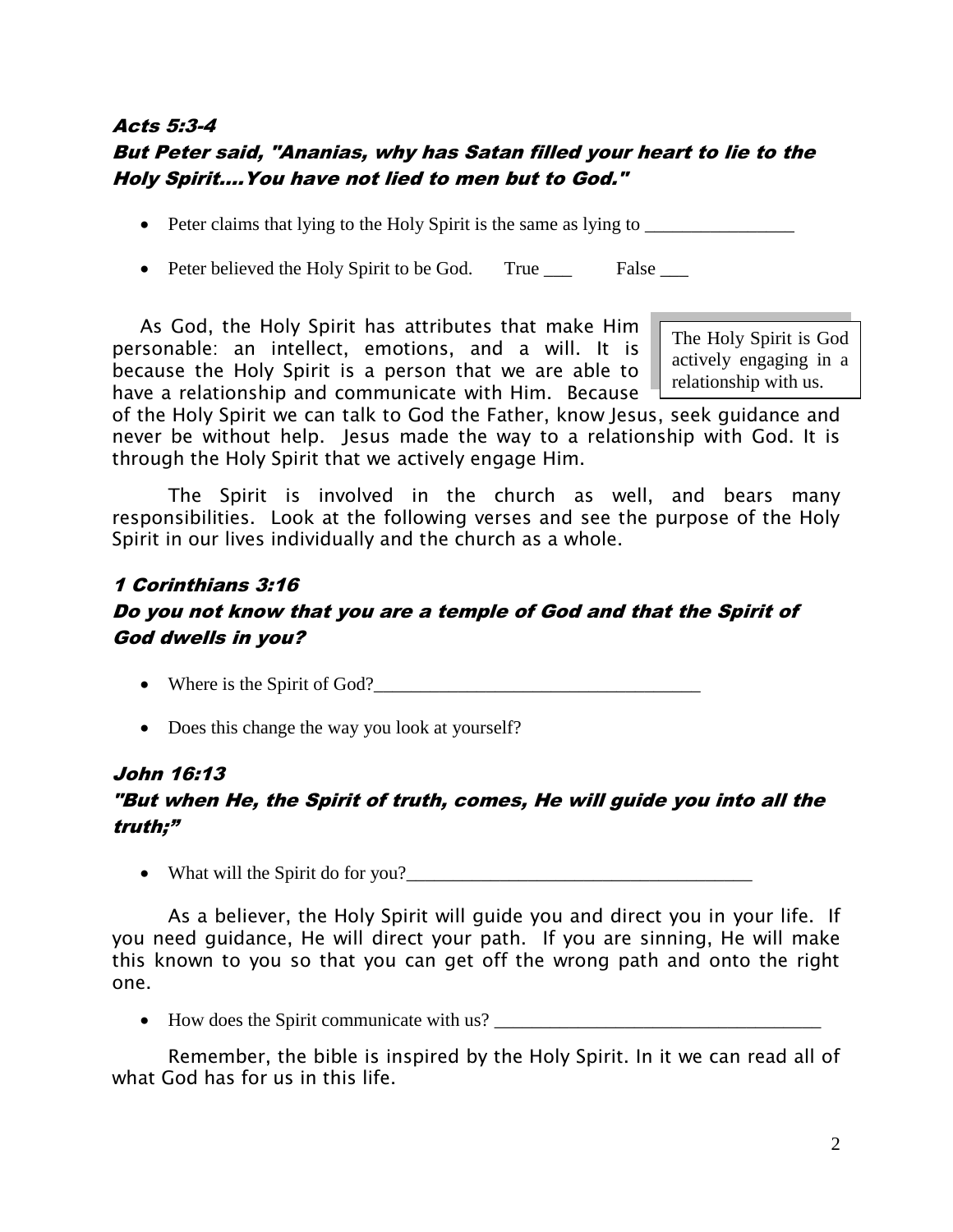## Acts 5:3-4 But Peter said, "Ananias, why has Satan filled your heart to lie to the Holy Spirit….You have not lied to men but to God."

- Peter claims that lying to the Holy Spirit is the same as lying to
- Peter believed the Holy Spirit to be God. True \_\_\_ False \_\_\_

As God, the Holy Spirit has attributes that make Him personable: an intellect, emotions, and a will. It is because the Holy Spirit is a person that we are able to have a relationship and communicate with Him. Because

The Holy Spirit is God actively engaging in a relationship with us.

of the Holy Spirit we can talk to God the Father, know Jesus, seek guidance and never be without help. Jesus made the way to a relationship with God. It is through the Holy Spirit that we actively engage Him.

The Spirit is involved in the church as well, and bears many responsibilities. Look at the following verses and see the purpose of the Holy Spirit in our lives individually and the church as a whole.

# 1 Corinthians 3:16 Do you not know that you are a temple of God and that the Spirit of God dwells in you?

- Where is the Spirit of God?
- Does this change the way you look at yourself?

#### John 16:13

# "But when He, the Spirit of truth, comes, He will guide you into all the truth;"

What will the Spirit do for you?\_\_\_\_\_\_\_\_\_\_\_\_\_\_\_\_\_\_\_\_\_\_\_\_\_\_\_\_\_\_\_\_\_\_\_\_\_

As a believer, the Holy Spirit will guide you and direct you in your life. If you need guidance, He will direct your path. If you are sinning, He will make this known to you so that you can get off the wrong path and onto the right one.

• How does the Spirit communicate with us?

Remember, the bible is inspired by the Holy Spirit. In it we can read all of what God has for us in this life.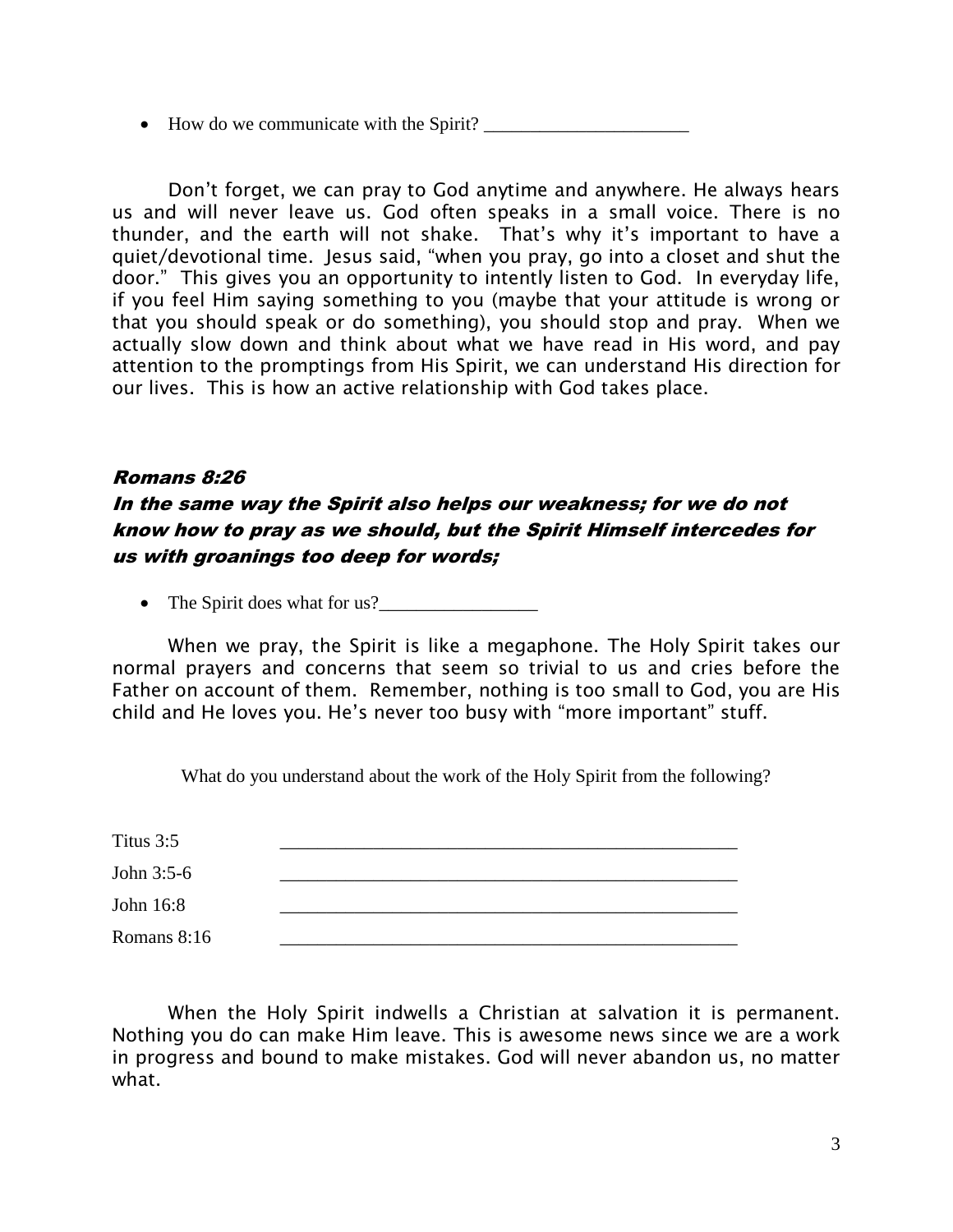How do we communicate with the Spirit? \_\_\_\_\_\_\_\_\_\_\_\_\_\_\_\_\_\_\_\_\_\_

Don't forget, we can pray to God anytime and anywhere. He always hears us and will never leave us. God often speaks in a small voice. There is no thunder, and the earth will not shake. That's why it's important to have a quiet/devotional time. Jesus said, "when you pray, go into a closet and shut the door." This gives you an opportunity to intently listen to God. In everyday life, if you feel Him saying something to you (maybe that your attitude is wrong or that you should speak or do something), you should stop and pray. When we actually slow down and think about what we have read in His word, and pay attention to the promptings from His Spirit, we can understand His direction for our lives. This is how an active relationship with God takes place.

#### Romans 8:26

# In the same way the Spirit also helps our weakness; for we do not know how to pray as we should, but the Spirit Himself intercedes for us with groanings too deep for words;

• The Spirit does what for us?

When we pray, the Spirit is like a megaphone. The Holy Spirit takes our normal prayers and concerns that seem so trivial to us and cries before the Father on account of them. Remember, nothing is too small to God, you are His child and He loves you. He's never too busy with "more important" stuff.

What do you understand about the work of the Holy Spirit from the following?

| Titus 3:5   |  |
|-------------|--|
| John 3:5-6  |  |
| John 16:8   |  |
| Romans 8:16 |  |

When the Holy Spirit indwells a Christian at salvation it is permanent. Nothing you do can make Him leave. This is awesome news since we are a work in progress and bound to make mistakes. God will never abandon us, no matter what.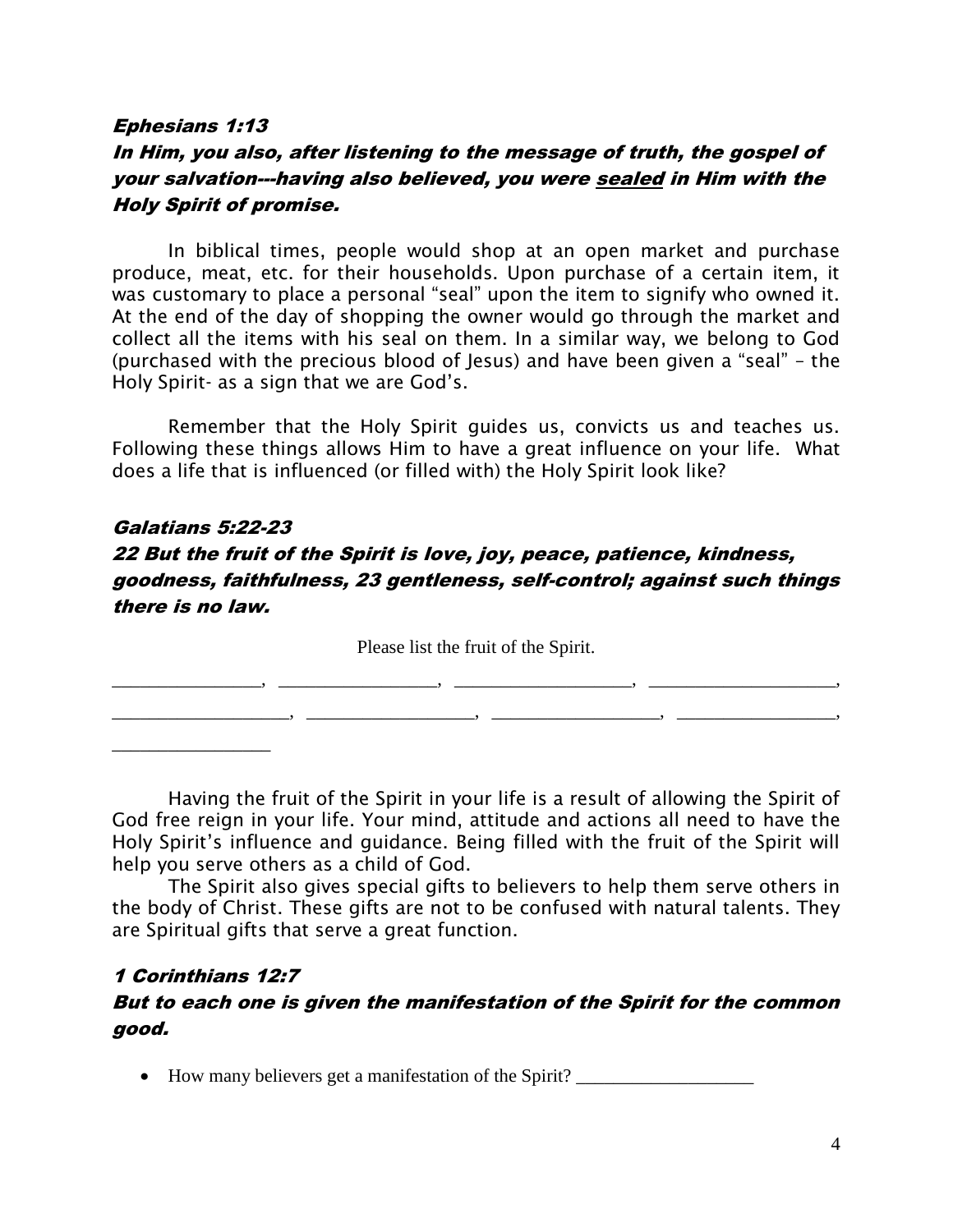#### Ephesians 1:13

## In Him, you also, after listening to the message of truth, the gospel of your salvation---having also believed, you were sealed in Him with the Holy Spirit of promise.

In biblical times, people would shop at an open market and purchase produce, meat, etc. for their households. Upon purchase of a certain item, it was customary to place a personal "seal" upon the item to signify who owned it. At the end of the day of shopping the owner would go through the market and collect all the items with his seal on them. In a similar way, we belong to God (purchased with the precious blood of Jesus) and have been given a "seal" – the Holy Spirit- as a sign that we are God's.

Remember that the Holy Spirit guides us, convicts us and teaches us. Following these things allows Him to have a great influence on your life. What does a life that is influenced (or filled with) the Holy Spirit look like?

# Galatians 5:22-23 22 But the fruit of the Spirit is love, joy, peace, patience, kindness, goodness, faithfulness, 23 gentleness, self-control; against such things there is no law.

Please list the fruit of the Spirit.

\_\_\_\_\_\_\_\_\_\_\_\_\_\_\_\_, \_\_\_\_\_\_\_\_\_\_\_\_\_\_\_\_\_, \_\_\_\_\_\_\_\_\_\_\_\_\_\_\_\_\_\_\_, \_\_\_\_\_\_\_\_\_\_\_\_\_\_\_\_\_\_\_\_,

\_\_\_\_\_\_\_\_\_\_\_\_\_\_\_\_\_\_\_, \_\_\_\_\_\_\_\_\_\_\_\_\_\_\_\_\_\_, \_\_\_\_\_\_\_\_\_\_\_\_\_\_\_\_\_\_, \_\_\_\_\_\_\_\_\_\_\_\_\_\_\_\_\_,

Having the fruit of the Spirit in your life is a result of allowing the Spirit of God free reign in your life. Your mind, attitude and actions all need to have the Holy Spirit's influence and guidance. Being filled with the fruit of the Spirit will help you serve others as a child of God.

The Spirit also gives special gifts to believers to help them serve others in the body of Christ. These gifts are not to be confused with natural talents. They are Spiritual gifts that serve a great function.

#### 1 Corinthians 12:7

\_\_\_\_\_\_\_\_\_\_\_\_\_\_\_\_\_

### But to each one is given the manifestation of the Spirit for the common good.

• How many believers get a manifestation of the Spirit? \_\_\_\_\_\_\_\_\_\_\_\_\_\_\_\_\_\_\_\_\_\_\_\_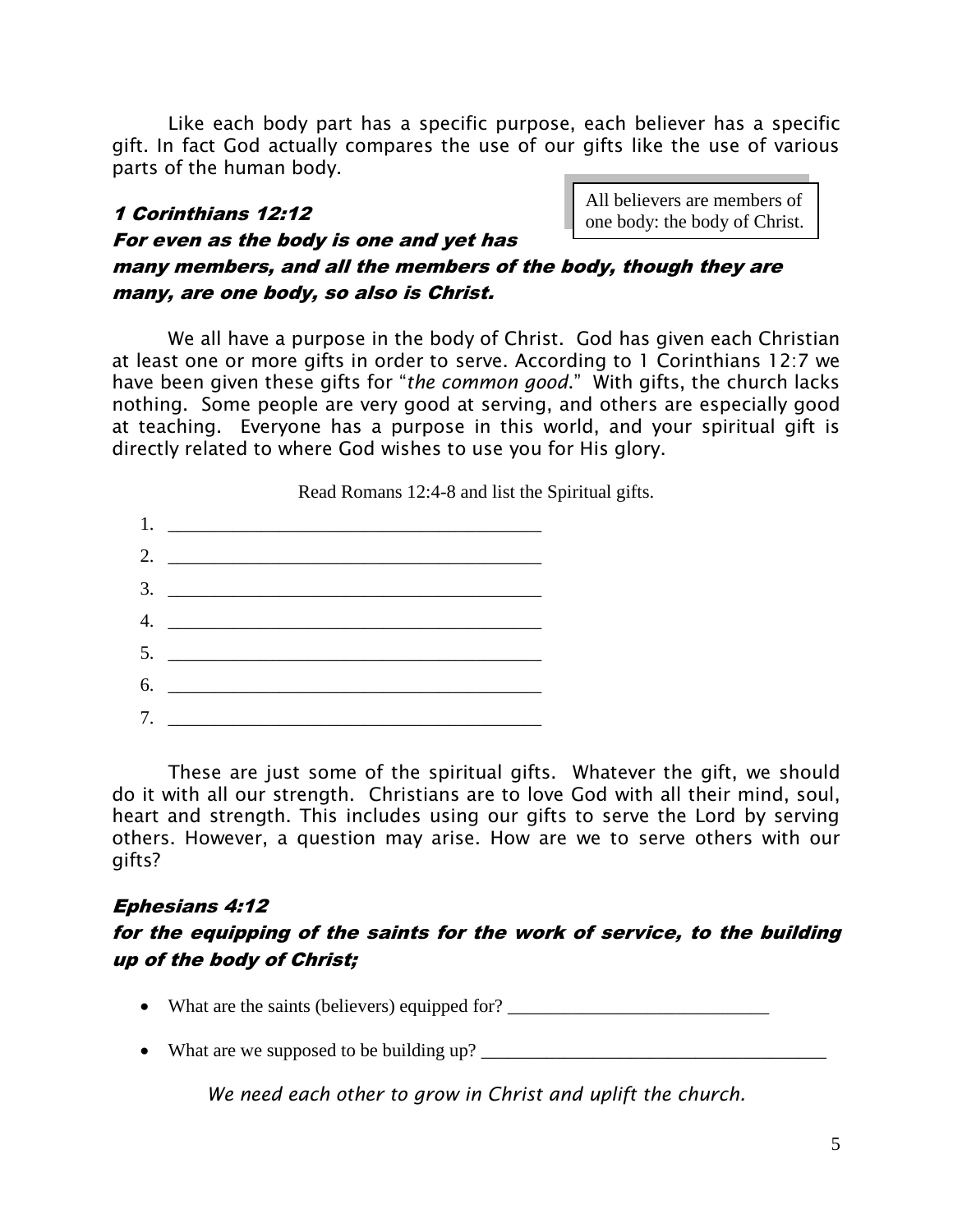Like each body part has a specific purpose, each believer has a specific gift. In fact God actually compares the use of our gifts like the use of various parts of the human body.

#### 1 Corinthians 12:12

All believers are members of one body: the body of Christ.

# For even as the body is one and yet has many members, and all the members of the body, though they are many, are one body, so also is Christ.

We all have a purpose in the body of Christ. God has given each Christian at least one or more gifts in order to serve. According to 1 Corinthians 12:7 we have been given these gifts for "*the common good*." With gifts, the church lacks nothing. Some people are very good at serving, and others are especially good at teaching. Everyone has a purpose in this world, and your spiritual gift is directly related to where God wishes to use you for His glory.

|                  | Read Romans 12:4-8 and list the Spiritual gifts.                                                                     |  |  |
|------------------|----------------------------------------------------------------------------------------------------------------------|--|--|
| 1.               |                                                                                                                      |  |  |
| 2.               | <u> Alexandria de la contrada de la contrada de la contrada de la contrada de la contrada de la contrada de la c</u> |  |  |
| 3.               |                                                                                                                      |  |  |
| $\overline{4}$ . |                                                                                                                      |  |  |
|                  | $5.$ $\overline{\phantom{a}}$                                                                                        |  |  |
| 6.               |                                                                                                                      |  |  |
| 7.               |                                                                                                                      |  |  |

These are just some of the spiritual gifts. Whatever the gift, we should do it with all our strength. Christians are to love God with all their mind, soul, heart and strength. This includes using our gifts to serve the Lord by serving others. However, a question may arise. How are we to serve others with our gifts?

#### Ephesians 4:12

### for the equipping of the saints for the work of service, to the building up of the body of Christ;

- What are the saints (believers) equipped for?  $\Box$
- What are we supposed to be building up?

*We need each other to grow in Christ and uplift the church.*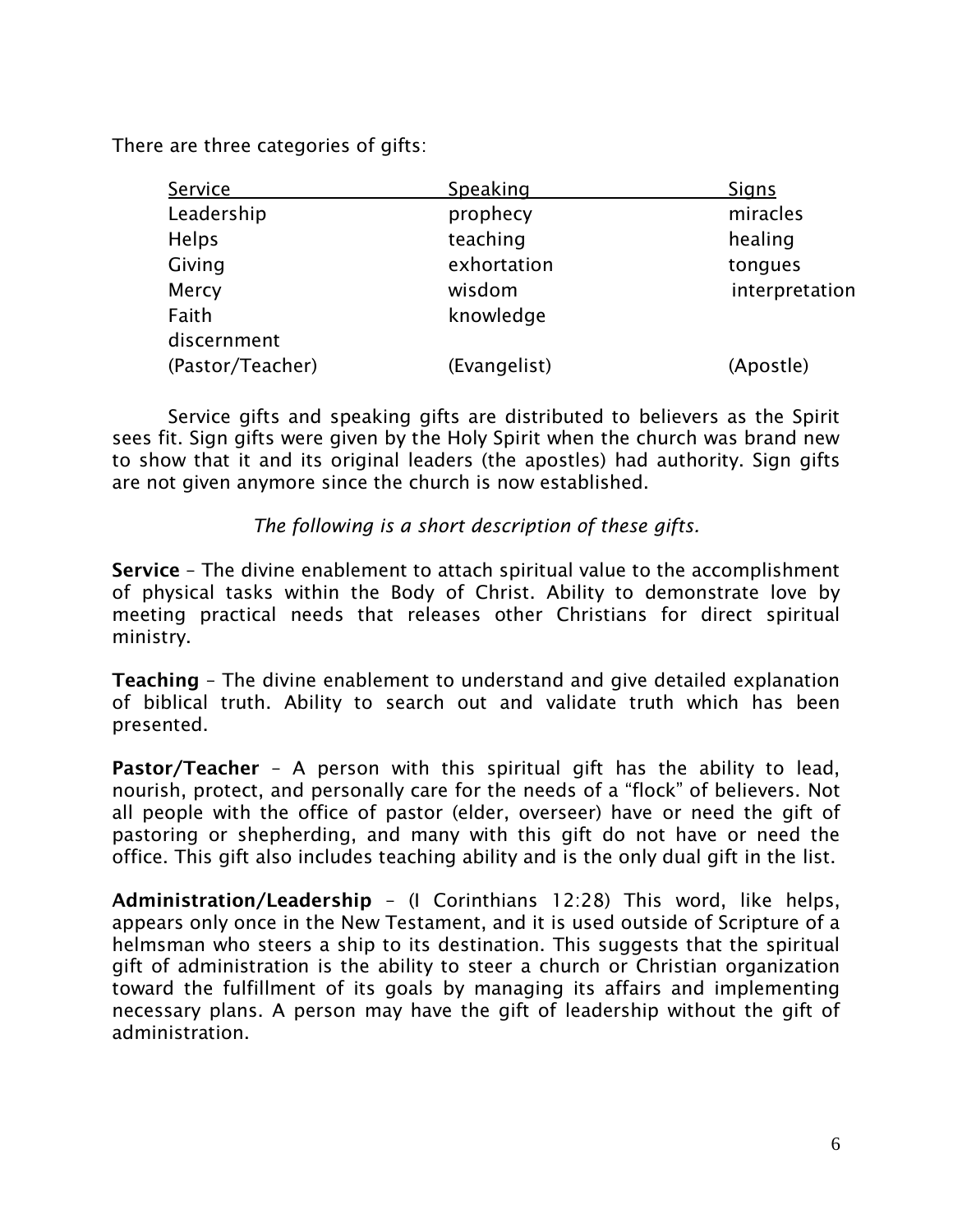There are three categories of gifts:

| Service          | Speaking     | Signs          |
|------------------|--------------|----------------|
| Leadership       | prophecy     | miracles       |
| <b>Helps</b>     | teaching     | healing        |
| Giving           | exhortation  | tongues        |
| Mercy            | wisdom       | interpretation |
| Faith            | knowledge    |                |
| discernment      |              |                |
| (Pastor/Teacher) | (Evangelist) | (Apostle)      |

Service gifts and speaking gifts are distributed to believers as the Spirit sees fit. Sign gifts were given by the Holy Spirit when the church was brand new to show that it and its original leaders (the apostles) had authority. Sign gifts are not given anymore since the church is now established.

#### *The following is a short description of these gifts.*

**Service** – The divine enablement to attach spiritual value to the accomplishment of physical tasks within the Body of Christ. Ability to demonstrate love by meeting practical needs that releases other Christians for direct spiritual ministry.

**Teaching** – The divine enablement to understand and give detailed explanation of biblical truth. Ability to search out and validate truth which has been presented.

**Pastor/Teacher** – A person with this spiritual gift has the ability to lead, nourish, protect, and personally care for the needs of a "flock" of believers. Not all people with the office of pastor (elder, overseer) have or need the gift of pastoring or shepherding, and many with this gift do not have or need the office. This gift also includes teaching ability and is the only dual gift in the list.

**Administration/Leadership** – (I Corinthians 12:28) This word, like helps, appears only once in the New Testament, and it is used outside of Scripture of a helmsman who steers a ship to its destination. This suggests that the spiritual gift of administration is the ability to steer a church or Christian organization toward the fulfillment of its goals by managing its affairs and implementing necessary plans. A person may have the gift of leadership without the gift of administration.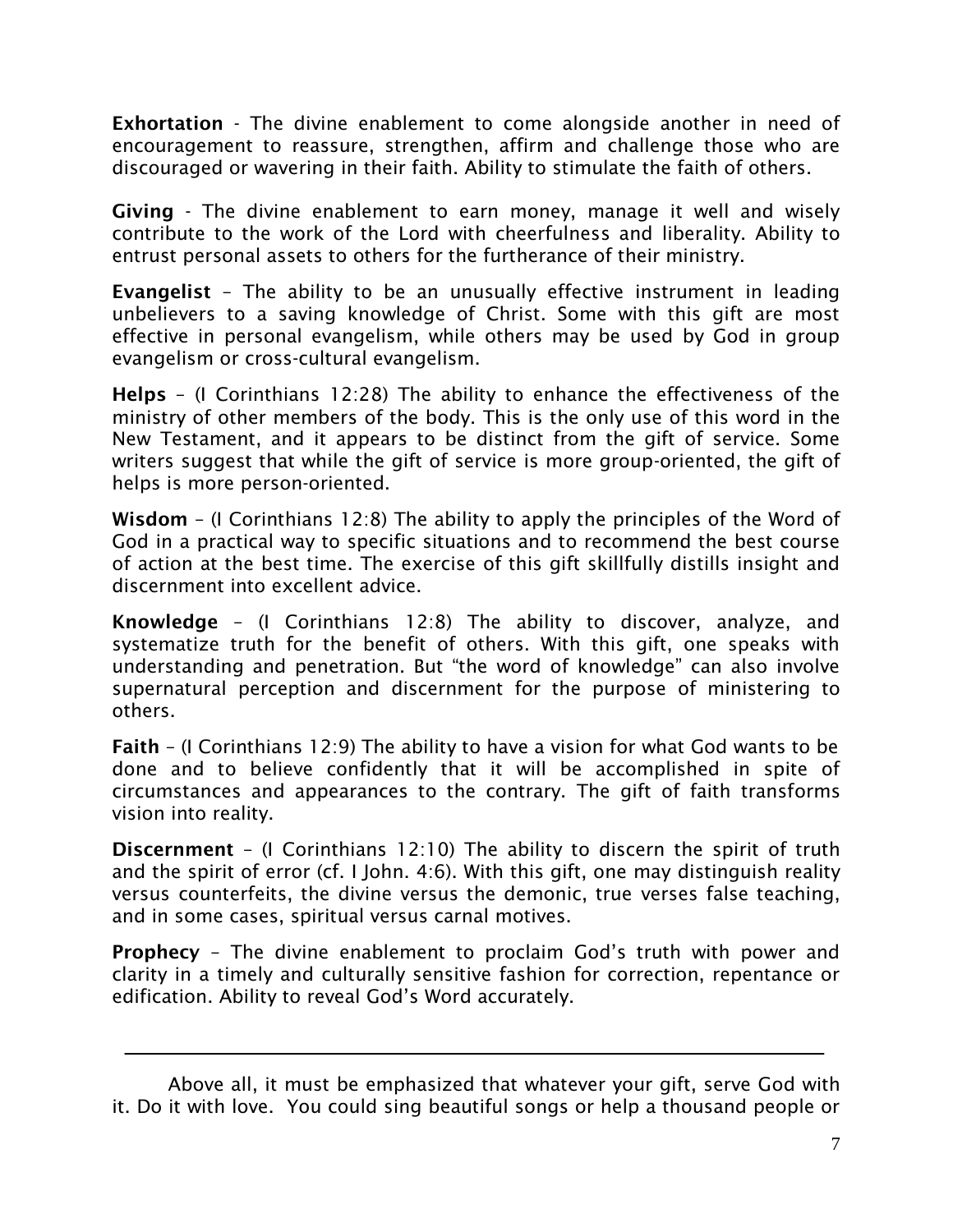**Exhortation** - The divine enablement to come alongside another in need of encouragement to reassure, strengthen, affirm and challenge those who are discouraged or wavering in their faith. Ability to stimulate the faith of others.

**Giving** - The divine enablement to earn money, manage it well and wisely contribute to the work of the Lord with cheerfulness and liberality. Ability to entrust personal assets to others for the furtherance of their ministry.

**Evangelist** – The ability to be an unusually effective instrument in leading unbelievers to a saving knowledge of Christ. Some with this gift are most effective in personal evangelism, while others may be used by God in group evangelism or cross-cultural evangelism.

**Helps** – (I Corinthians 12:28) The ability to enhance the effectiveness of the ministry of other members of the body. This is the only use of this word in the New Testament, and it appears to be distinct from the gift of service. Some writers suggest that while the gift of service is more group-oriented, the gift of helps is more person-oriented.

**Wisdom** – (I Corinthians 12:8) The ability to apply the principles of the Word of God in a practical way to specific situations and to recommend the best course of action at the best time. The exercise of this gift skillfully distills insight and discernment into excellent advice.

**Knowledge** – (I Corinthians 12:8) The ability to discover, analyze, and systematize truth for the benefit of others. With this gift, one speaks with understanding and penetration. But "the word of knowledge" can also involve supernatural perception and discernment for the purpose of ministering to others.

**Faith** – (I Corinthians 12:9) The ability to have a vision for what God wants to be done and to believe confidently that it will be accomplished in spite of circumstances and appearances to the contrary. The gift of faith transforms vision into reality.

**Discernment** – (I Corinthians 12:10) The ability to discern the spirit of truth and the spirit of error (cf. I John. 4:6). With this gift, one may distinguish reality versus counterfeits, the divine versus the demonic, true verses false teaching, and in some cases, spiritual versus carnal motives.

**Prophecy** – The divine enablement to proclaim God's truth with power and clarity in a timely and culturally sensitive fashion for correction, repentance or edification. Ability to reveal God's Word accurately.

Above all, it must be emphasized that whatever your gift, serve God with it. Do it with love. You could sing beautiful songs or help a thousand people or